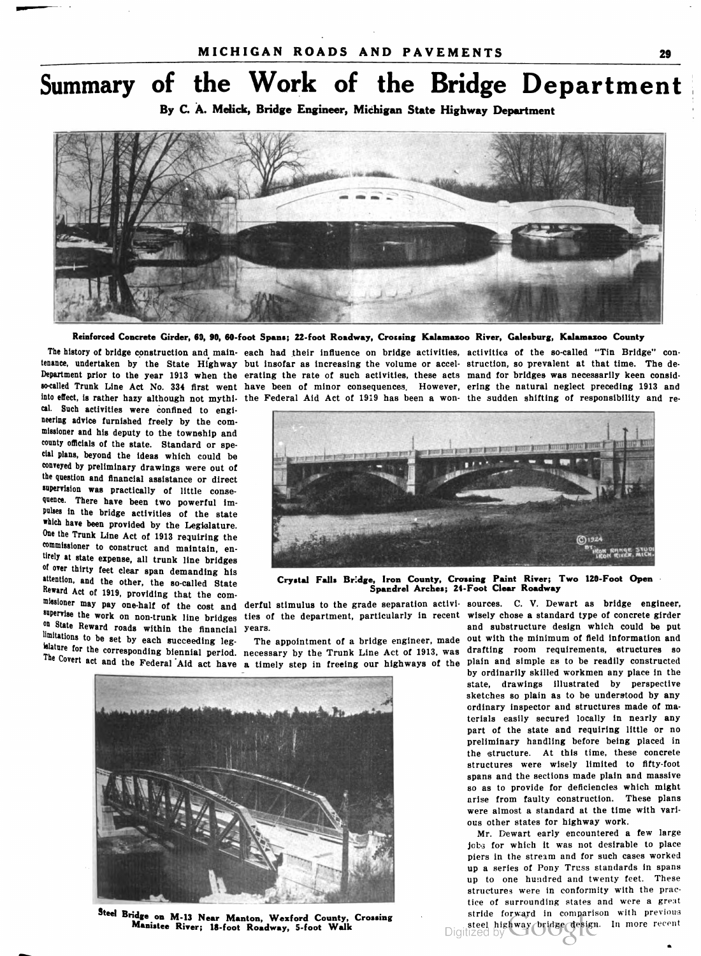## Summary of the Work of the Bridge Department

By C. A. Melick, Bridge Engineer, Michigan State Highway Department



Reinforced Concrete Girder, 60, 90, 60-foot Spans; 22-foot Roadway, Crossing Kalamazoo River, Galesburg, Kalamazoo County

into effect, is rather hazy although not mythi. the Federal Aid Act of 1919 has been a won the sudden shifting of responsibility and re cal. Such activities were confined to engi neering advice furnished freely by the com missioner and his deputy to the township and county officials of the state. Standard or spe cial plans, beyond the ideas which could be conveyed by preliminary drawings were out of the question and financial assistance or direct supervision was practically of little conse quence. There have been two powerful im pulses in the bridge activities of the state which have been provided by the Legislature. One the Trunk Line Act of 1913 requiring the commissioner to construct and maintain, en tirely at state expense, all trunk line bridges of over thirty feet clear span demanding his<br>attention, and the other, the so-called State missioner may pay one-half of the cost and derful stimulus to the grade separation activi- sources. C. V. Dewart as bridge engineer,

The history of bridge construction and main- each had their influence on bridge activities, activities of the so-called "Tin Bridge" contenance, undertaken by the State Highway but insofar as increasing the volume or accel- struction, so prevalent at that time. The de Department prior to the year 1913 when the erating the rate of such activities, these acts mand for bridges was necessarily keen considso-called Trunk Line Act No. 334 first went have been of minor consequences. However, ering the natural neglect preceding 1913 and



attention, and the other, the so-called State Crystal Falls Bridge, Iron County, Crossing Paint River; Two 120-Foot Open<br>Reward Act of 1919, providing that the com-<br>Allows Spandrel Arches; 24-Foot Clear Roadway Spandrel Arches; 24- Foot Clear Roadway

The Covert act and the Federal Aid act have a timely step in freeing our highways of the



Steel Bridge on M-13 Near Manton, Wexford County, Crossing stride forward in comparison with previous Manistee River; 18-foot Roadway, 5-foot Walk black and the previous steel highway bridge design. In more recent

supervise the work on non-trunk line bridges ties of the department, particularly in recent wisely chose a standard type of concrete girder<br>on State Reward roads within the financial years.<br>limitations to be set by each su limitations to be set by each succeeding leg.<br>
Solutions to be set by each succeeding leg. The appointment of a bridge engineer, made out with the minimum of field information and<br>
solution for the corresponding biennial p by ordinarily skilled workmen any place in the state, drawings illustrated by perspective sketches so plain as to be understood by any ordinary inspector and structures made of ma terials easily secured locally in nearly any part of the state and requiring little or no preliminary handling before being placed in the structure. At this time, these concrete structures were wisely limited to fifty-foot spans and the sections made plain and massive so as to provide for deficiencies which might arise from faulty construction. These plans were almost a standard at the time with vari ous other states for highway work. drafting room requirements, structures so

Mr. Dewart early encountered a few large jobs for which it was not desirable to place piers in the stream and for such cases worked up a series of Pony Truss standards in spans up to one hundred and twenty feet. These structures were in conformity with the prac tice of surrounding states and were a great steel highway bridge design. In more recent